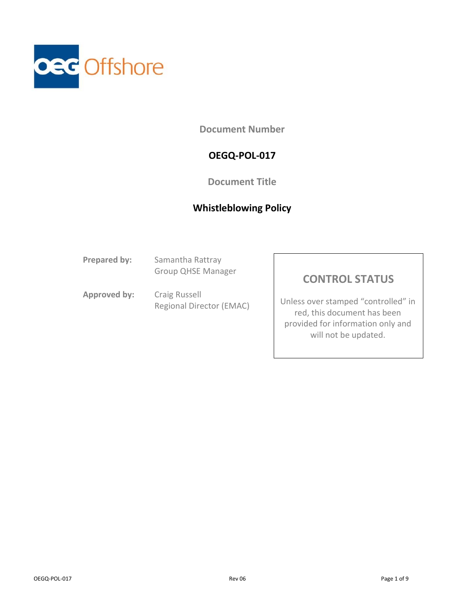

**Document Number**

## **OEGQ-POL-017**

### **Document Title**

### **Whistleblowing Policy**

**Prepared by:** Samantha Rattray Group QHSE Manager

**Approved by:** Craig Russell Regional Director (EMAC)

## **CONTROL STATUS**

Unless over stamped "controlled" in red, this document has been provided for information only and will not be updated.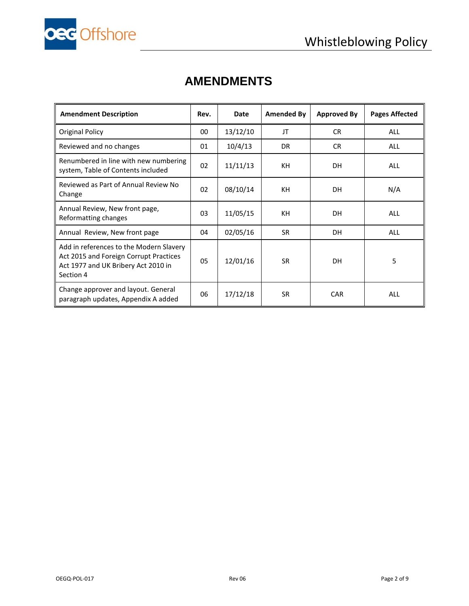

# **AMENDMENTS**

| <b>Amendment Description</b>                                                                                                          | Rev. | Date     | Amended By | <b>Approved By</b> | <b>Pages Affected</b> |
|---------------------------------------------------------------------------------------------------------------------------------------|------|----------|------------|--------------------|-----------------------|
| <b>Original Policy</b>                                                                                                                | 00   | 13/12/10 | JT         | CR.                | <b>ALL</b>            |
| Reviewed and no changes                                                                                                               | 01   | 10/4/13  | DR.        | CR.                | <b>ALL</b>            |
| Renumbered in line with new numbering<br>system, Table of Contents included                                                           | 02   | 11/11/13 | KH         | <b>DH</b>          | <b>ALL</b>            |
| Reviewed as Part of Annual Review No<br>Change                                                                                        | 02   | 08/10/14 | KH         | <b>DH</b>          | N/A                   |
| Annual Review, New front page,<br>Reformatting changes                                                                                | 03   | 11/05/15 | KH         | <b>DH</b>          | <b>ALL</b>            |
| Annual Review, New front page                                                                                                         | 04   | 02/05/16 | <b>SR</b>  | <b>DH</b>          | <b>ALL</b>            |
| Add in references to the Modern Slavery<br>Act 2015 and Foreign Corrupt Practices<br>Act 1977 and UK Bribery Act 2010 in<br>Section 4 | 05   | 12/01/16 | SR.        | <b>DH</b>          | 5                     |
| Change approver and layout. General<br>paragraph updates, Appendix A added                                                            | 06   | 17/12/18 | <b>SR</b>  | <b>CAR</b>         | <b>ALL</b>            |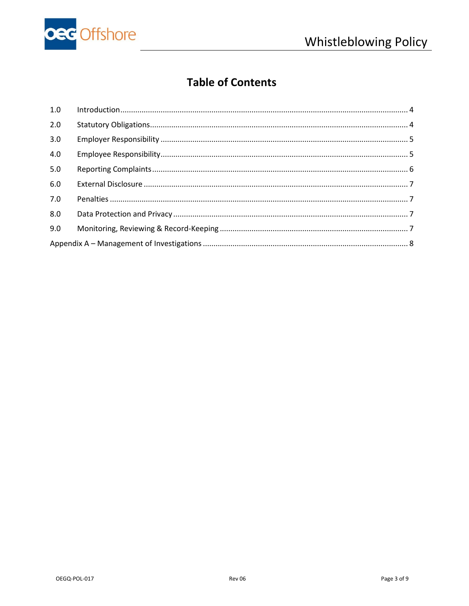

# **Table of Contents**

| 1.0 |  |
|-----|--|
| 2.0 |  |
| 3.0 |  |
| 4.0 |  |
| 5.0 |  |
| 6.0 |  |
| 7.0 |  |
| 8.0 |  |
| 9.0 |  |
|     |  |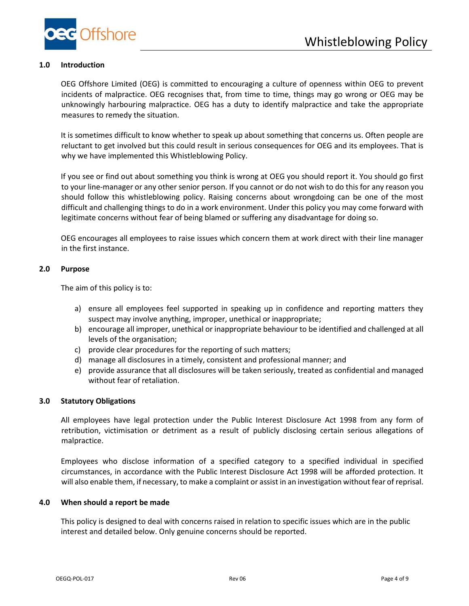

#### **1.0 Introduction**

<span id="page-3-0"></span>OEG Offshore Limited (OEG) is committed to encouraging a culture of openness within OEG to prevent incidents of malpractice. OEG recognises that, from time to time, things may go wrong or OEG may be unknowingly harbouring malpractice. OEG has a duty to identify malpractice and take the appropriate measures to remedy the situation.

It is sometimes difficult to know whether to speak up about something that concerns us. Often people are reluctant to get involved but this could result in serious consequences for OEG and its employees. That is why we have implemented this Whistleblowing Policy.

If you see or find out about something you think is wrong at OEG you should report it. You should go first to your line-manager or any other senior person. If you cannot or do not wish to do this for any reason you should follow this whistleblowing policy. Raising concerns about wrongdoing can be one of the most difficult and challenging things to do in a work environment. Under this policy you may come forward with legitimate concerns without fear of being blamed or suffering any disadvantage for doing so.

OEG encourages all employees to raise issues which concern them at work direct with their line manager in the first instance.

#### **2.0 Purpose**

The aim of this policy is to:

- a) ensure all employees feel supported in speaking up in confidence and reporting matters they suspect may involve anything, improper, unethical or inappropriate;
- b) encourage all improper, unethical or inappropriate behaviour to be identified and challenged at all levels of the organisation;
- c) provide clear procedures for the reporting of such matters;
- d) manage all disclosures in a timely, consistent and professional manner; and
- e) provide assurance that all disclosures will be taken seriously, treated as confidential and managed without fear of retaliation.

#### <span id="page-3-1"></span>**3.0 Statutory Obligations**

All employees have legal protection under the Public Interest Disclosure Act 1998 from any form of retribution, victimisation or detriment as a result of publicly disclosing certain serious allegations of malpractice.

Employees who disclose information of a specified category to a specified individual in specified circumstances, in accordance with the Public Interest Disclosure Act 1998 will be afforded protection. It will also enable them, if necessary, to make a complaint or assist in an investigation without fear of reprisal.

#### **4.0 When should a report be made**

This policy is designed to deal with concerns raised in relation to specific issues which are in the public interest and detailed below. Only genuine concerns should be reported.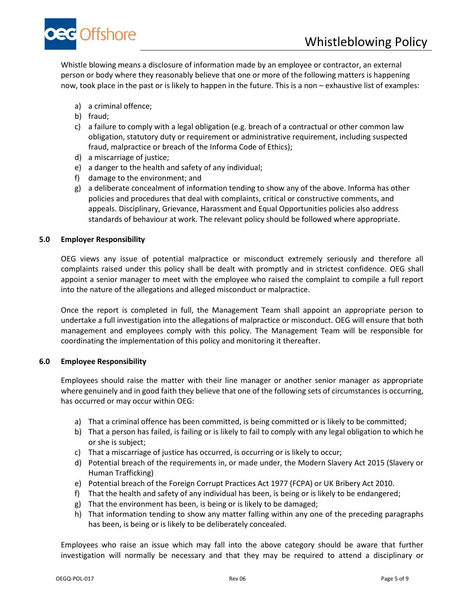

Whistle blowing means a disclosure of information made by an employee or contractor, an external person or body where they reasonably believe that one or more of the following matters is happening now, took place in the past or is likely to happen in the future. This is a non – exhaustive list of examples:

- a) a criminal offence;
- b) fraud;
- c) a failure to comply with a legal obligation (e.g. breach of a contractual or other common law obligation, statutory duty or requirement or administrative requirement, including suspected fraud, malpractice or breach of the Informa Code of Ethics);
- d) a miscarriage of justice;
- e) a danger to the health and safety of any individual;
- f) damage to the environment; and
- g) a deliberate concealment of information tending to show any of the above. Informa has other policies and procedures that deal with complaints, critical or constructive comments, and appeals. Disciplinary, Grievance, Harassment and Equal Opportunities policies also address standards of behaviour at work. The relevant policy should be followed where appropriate.

#### <span id="page-4-0"></span>**5.0 Employer Responsibility**

OEG views any issue of potential malpractice or misconduct extremely seriously and therefore all complaints raised under this policy shall be dealt with promptly and in strictest confidence. OEG shall appoint a senior manager to meet with the employee who raised the complaint to compile a full report into the nature of the allegations and alleged misconduct or malpractice.

Once the report is completed in full, the Management Team shall appoint an appropriate person to undertake a full investigation into the allegations of malpractice or misconduct. OEG will ensure that both management and employees comply with this policy. The Management Team will be responsible for coordinating the implementation of this policy and monitoring it thereafter.

#### <span id="page-4-1"></span>**6.0 Employee Responsibility**

Employees should raise the matter with their line manager or another senior manager as appropriate where genuinely and in good faith they believe that one of the following sets of circumstances is occurring, has occurred or may occur within OEG:

- a) That a criminal offence has been committed, is being committed or is likely to be committed;
- b) That a person has failed, is failing or is likely to fail to comply with any legal obligation to which he or she is subject;
- c) That a miscarriage of justice has occurred, is occurring or is likely to occur;
- d) Potential breach of the requirements in, or made under, the Modern Slavery Act 2015 (Slavery or Human Trafficking)
- e) Potential breach of the Foreign Corrupt Practices Act 1977 (FCPA) or UK Bribery Act 2010.
- f) That the health and safety of any individual has been, is being or is likely to be endangered;
- g) That the environment has been, is being or is likely to be damaged;
- h) That information tending to show any matter falling within any one of the preceding paragraphs has been, is being or is likely to be deliberately concealed.

Employees who raise an issue which may fall into the above category should be aware that further investigation will normally be necessary and that they may be required to attend a disciplinary or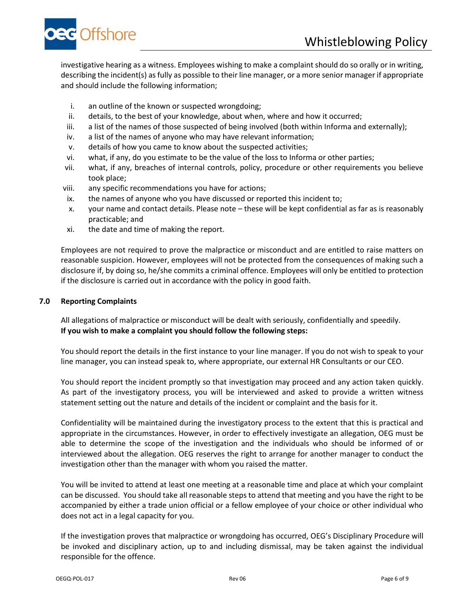

investigative hearing as a witness. Employees wishing to make a complaint should do so orally or in writing, describing the incident(s) as fully as possible to their line manager, or a more senior manager if appropriate and should include the following information;

- i. an outline of the known or suspected wrongdoing;
- ii. details, to the best of your knowledge, about when, where and how it occurred;
- iii. a list of the names of those suspected of being involved (both within Informa and externally);
- iv. a list of the names of anyone who may have relevant information;
- v. details of how you came to know about the suspected activities;
- vi. what, if any, do you estimate to be the value of the loss to Informa or other parties;
- vii. what, if any, breaches of internal controls, policy, procedure or other requirements you believe took place;
- viii. any specific recommendations you have for actions;
- ix. the names of anyone who you have discussed or reported this incident to;
- x. your name and contact details. Please note these will be kept confidential as far as is reasonably practicable; and
- xi. the date and time of making the report.

Employees are not required to prove the malpractice or misconduct and are entitled to raise matters on reasonable suspicion. However, employees will not be protected from the consequences of making such a disclosure if, by doing so, he/she commits a criminal offence. Employees will only be entitled to protection if the disclosure is carried out in accordance with the policy in good faith.

#### <span id="page-5-0"></span>**7.0 Reporting Complaints**

All allegations of malpractice or misconduct will be dealt with seriously, confidentially and speedily. **If you wish to make a complaint you should follow the following steps:** 

You should report the details in the first instance to your line manager. If you do not wish to speak to your line manager, you can instead speak to, where appropriate, our external HR Consultants or our CEO.

You should report the incident promptly so that investigation may proceed and any action taken quickly. As part of the investigatory process, you will be interviewed and asked to provide a written witness statement setting out the nature and details of the incident or complaint and the basis for it.

Confidentiality will be maintained during the investigatory process to the extent that this is practical and appropriate in the circumstances. However, in order to effectively investigate an allegation, OEG must be able to determine the scope of the investigation and the individuals who should be informed of or interviewed about the allegation. OEG reserves the right to arrange for another manager to conduct the investigation other than the manager with whom you raised the matter.

You will be invited to attend at least one meeting at a reasonable time and place at which your complaint can be discussed. You should take all reasonable steps to attend that meeting and you have the right to be accompanied by either a trade union official or a fellow employee of your choice or other individual who does not act in a legal capacity for you.

If the investigation proves that malpractice or wrongdoing has occurred, OEG's Disciplinary Procedure will be invoked and disciplinary action, up to and including dismissal, may be taken against the individual responsible for the offence.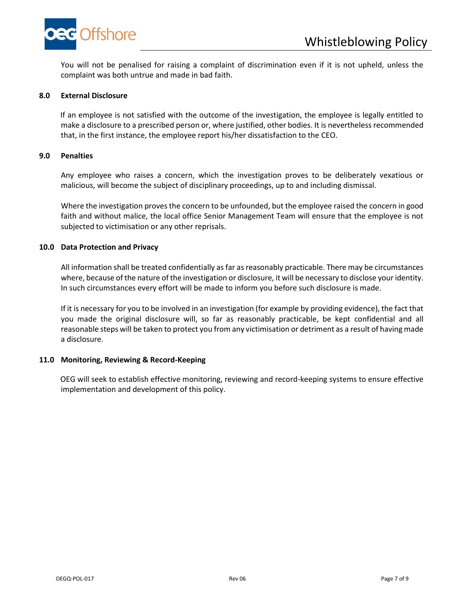

You will not be penalised for raising a complaint of discrimination even if it is not upheld, unless the complaint was both untrue and made in bad faith.

#### <span id="page-6-0"></span>**8.0 External Disclosure**

If an employee is not satisfied with the outcome of the investigation, the employee is legally entitled to make a disclosure to a prescribed person or, where justified, other bodies. It is nevertheless recommended that, in the first instance, the employee report his/her dissatisfaction to the CEO.

#### <span id="page-6-1"></span>**9.0 Penalties**

Any employee who raises a concern, which the investigation proves to be deliberately vexatious or malicious, will become the subject of disciplinary proceedings, up to and including dismissal.

Where the investigation proves the concern to be unfounded, but the employee raised the concern in good faith and without malice, the local office Senior Management Team will ensure that the employee is not subjected to victimisation or any other reprisals.

#### <span id="page-6-2"></span>**10.0 Data Protection and Privacy**

All information shall be treated confidentially as far as reasonably practicable. There may be circumstances where, because of the nature of the investigation or disclosure, it will be necessary to disclose your identity. In such circumstances every effort will be made to inform you before such disclosure is made.

If it is necessary for you to be involved in an investigation (for example by providing evidence), the fact that you made the original disclosure will, so far as reasonably practicable, be kept confidential and all reasonable steps will be taken to protect you from any victimisation or detriment as a result of having made a disclosure.

#### <span id="page-6-3"></span>**11.0 Monitoring, Reviewing & Record-Keeping**

OEG will seek to establish effective monitoring, reviewing and record-keeping systems to ensure effective implementation and development of this policy.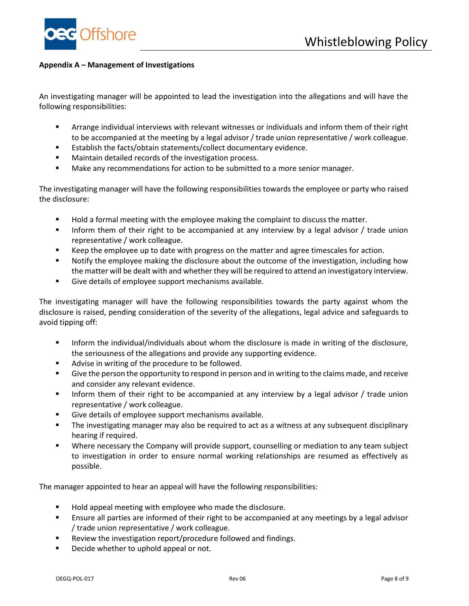

#### <span id="page-7-0"></span>**Appendix A – Management of Investigations**

An investigating manager will be appointed to lead the investigation into the allegations and will have the following responsibilities:

- Arrange individual interviews with relevant witnesses or individuals and inform them of their right to be accompanied at the meeting by a legal advisor / trade union representative / work colleague.
- Establish the facts/obtain statements/collect documentary evidence.
- Maintain detailed records of the investigation process.
- Make any recommendations for action to be submitted to a more senior manager.

The investigating manager will have the following responsibilities towards the employee or party who raised the disclosure:

- Hold a formal meeting with the employee making the complaint to discuss the matter.
- Inform them of their right to be accompanied at any interview by a legal advisor / trade union representative / work colleague.
- Keep the employee up to date with progress on the matter and agree timescales for action.
- Notify the employee making the disclosure about the outcome of the investigation, including how the matter will be dealt with and whether they will be required to attend an investigatory interview.
- Give details of employee support mechanisms available.

The investigating manager will have the following responsibilities towards the party against whom the disclosure is raised, pending consideration of the severity of the allegations, legal advice and safeguards to avoid tipping off:

- **■** Inform the individual/individuals about whom the disclosure is made in writing of the disclosure, the seriousness of the allegations and provide any supporting evidence.
- Advise in writing of the procedure to be followed.
- **■** Give the person the opportunity to respond in person and in writing to the claims made, and receive and consider any relevant evidence.
- **■** Inform them of their right to be accompanied at any interview by a legal advisor / trade union representative / work colleague.
- Give details of employee support mechanisms available.
- The investigating manager may also be required to act as a witness at any subsequent disciplinary hearing if required.
- Where necessary the Company will provide support, counselling or mediation to any team subject to investigation in order to ensure normal working relationships are resumed as effectively as possible.

The manager appointed to hear an appeal will have the following responsibilities:

- Hold appeal meeting with employee who made the disclosure.
- **E** Ensure all parties are informed of their right to be accompanied at any meetings by a legal advisor / trade union representative / work colleague.
- Review the investigation report/procedure followed and findings.
- Decide whether to uphold appeal or not.